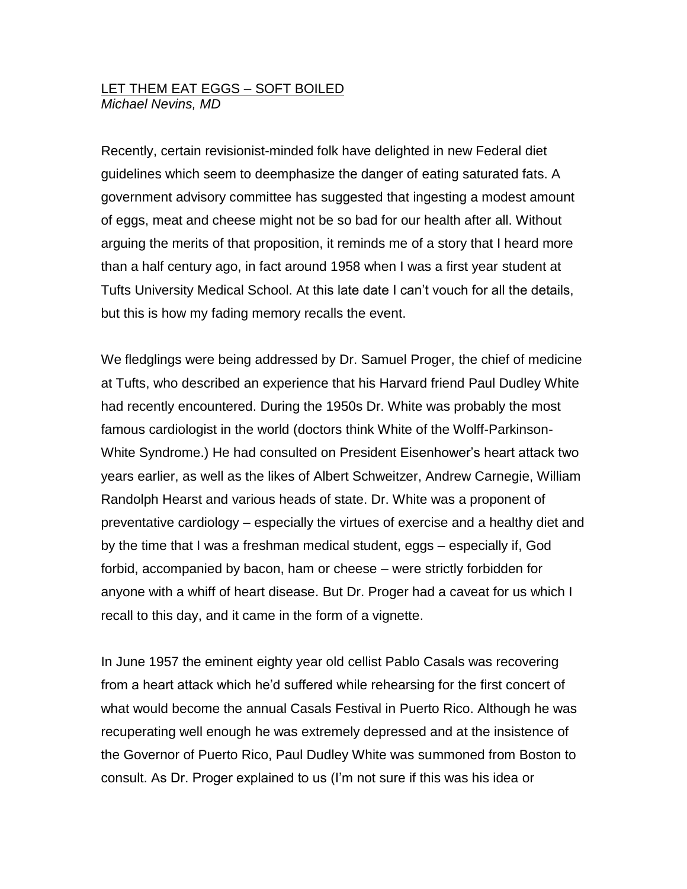## LET THEM EAT EGGS – SOFT BOILED *Michael Nevins, MD*

Recently, certain revisionist-minded folk have delighted in new Federal diet guidelines which seem to deemphasize the danger of eating saturated fats. A government advisory committee has suggested that ingesting a modest amount of eggs, meat and cheese might not be so bad for our health after all. Without arguing the merits of that proposition, it reminds me of a story that I heard more than a half century ago, in fact around 1958 when I was a first year student at Tufts University Medical School. At this late date I can't vouch for all the details, but this is how my fading memory recalls the event.

We fledglings were being addressed by Dr. Samuel Proger, the chief of medicine at Tufts, who described an experience that his Harvard friend Paul Dudley White had recently encountered. During the 1950s Dr. White was probably the most famous cardiologist in the world (doctors think White of the Wolff-Parkinson-White Syndrome.) He had consulted on President Eisenhower's heart attack two years earlier, as well as the likes of Albert Schweitzer, Andrew Carnegie, William Randolph Hearst and various heads of state. Dr. White was a proponent of preventative cardiology – especially the virtues of exercise and a healthy diet and by the time that I was a freshman medical student, eggs – especially if, God forbid, accompanied by bacon, ham or cheese – were strictly forbidden for anyone with a whiff of heart disease. But Dr. Proger had a caveat for us which I recall to this day, and it came in the form of a vignette.

In June 1957 the eminent eighty year old cellist Pablo Casals was recovering from a heart attack which he'd suffered while rehearsing for the first concert of what would become the annual Casals Festival in Puerto Rico. Although he was recuperating well enough he was extremely depressed and at the insistence of the Governor of Puerto Rico, Paul Dudley White was summoned from Boston to consult. As Dr. Proger explained to us (I'm not sure if this was his idea or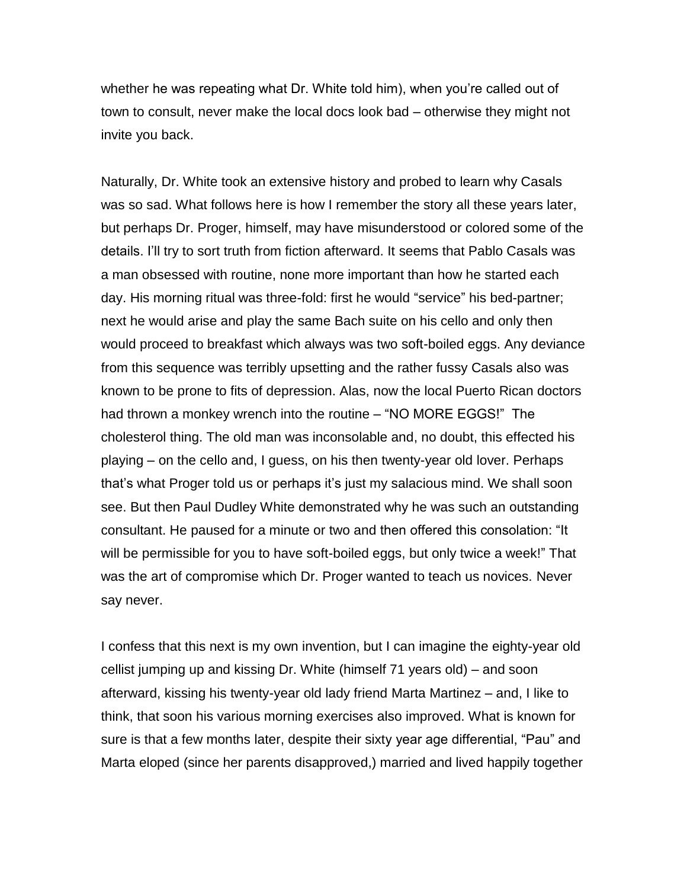whether he was repeating what Dr. White told him), when you're called out of town to consult, never make the local docs look bad – otherwise they might not invite you back.

Naturally, Dr. White took an extensive history and probed to learn why Casals was so sad. What follows here is how I remember the story all these years later, but perhaps Dr. Proger, himself, may have misunderstood or colored some of the details. I'll try to sort truth from fiction afterward. It seems that Pablo Casals was a man obsessed with routine, none more important than how he started each day. His morning ritual was three-fold: first he would "service" his bed-partner; next he would arise and play the same Bach suite on his cello and only then would proceed to breakfast which always was two soft-boiled eggs. Any deviance from this sequence was terribly upsetting and the rather fussy Casals also was known to be prone to fits of depression. Alas, now the local Puerto Rican doctors had thrown a monkey wrench into the routine – "NO MORE EGGS!" The cholesterol thing. The old man was inconsolable and, no doubt, this effected his playing – on the cello and, I guess, on his then twenty-year old lover. Perhaps that's what Proger told us or perhaps it's just my salacious mind. We shall soon see. But then Paul Dudley White demonstrated why he was such an outstanding consultant. He paused for a minute or two and then offered this consolation: "It will be permissible for you to have soft-boiled eggs, but only twice a week!" That was the art of compromise which Dr. Proger wanted to teach us novices. Never say never.

I confess that this next is my own invention, but I can imagine the eighty-year old cellist jumping up and kissing Dr. White (himself 71 years old) – and soon afterward, kissing his twenty-year old lady friend Marta Martinez – and, I like to think, that soon his various morning exercises also improved. What is known for sure is that a few months later, despite their sixty year age differential, "Pau" and Marta eloped (since her parents disapproved,) married and lived happily together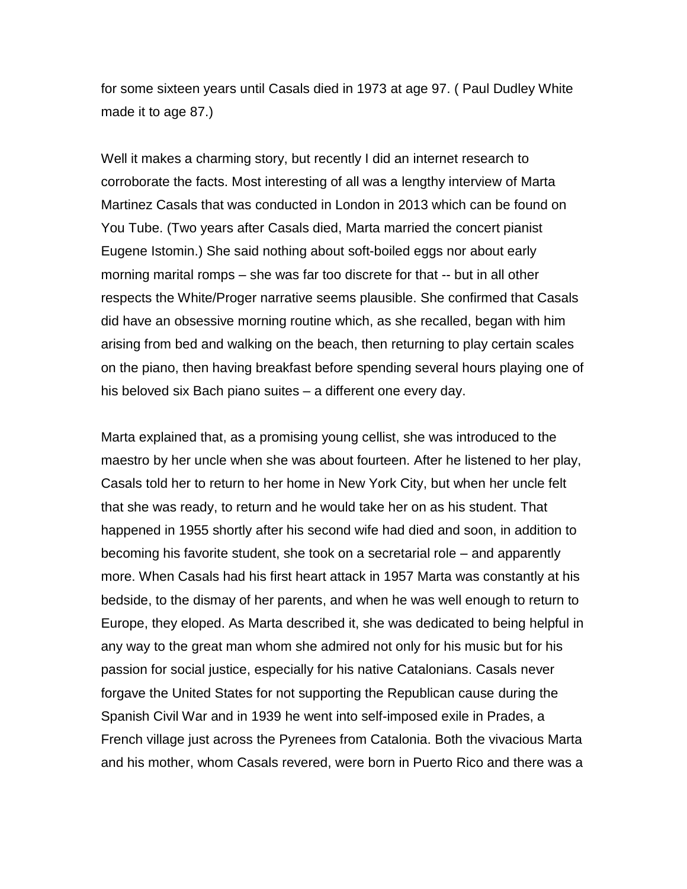for some sixteen years until Casals died in 1973 at age 97. ( Paul Dudley White made it to age 87.)

Well it makes a charming story, but recently I did an internet research to corroborate the facts. Most interesting of all was a lengthy interview of Marta Martinez Casals that was conducted in London in 2013 which can be found on You Tube. (Two years after Casals died, Marta married the concert pianist Eugene Istomin.) She said nothing about soft-boiled eggs nor about early morning marital romps – she was far too discrete for that -- but in all other respects the White/Proger narrative seems plausible. She confirmed that Casals did have an obsessive morning routine which, as she recalled, began with him arising from bed and walking on the beach, then returning to play certain scales on the piano, then having breakfast before spending several hours playing one of his beloved six Bach piano suites – a different one every day.

Marta explained that, as a promising young cellist, she was introduced to the maestro by her uncle when she was about fourteen. After he listened to her play, Casals told her to return to her home in New York City, but when her uncle felt that she was ready, to return and he would take her on as his student. That happened in 1955 shortly after his second wife had died and soon, in addition to becoming his favorite student, she took on a secretarial role – and apparently more. When Casals had his first heart attack in 1957 Marta was constantly at his bedside, to the dismay of her parents, and when he was well enough to return to Europe, they eloped. As Marta described it, she was dedicated to being helpful in any way to the great man whom she admired not only for his music but for his passion for social justice, especially for his native Catalonians. Casals never forgave the United States for not supporting the Republican cause during the Spanish Civil War and in 1939 he went into self-imposed exile in Prades, a French village just across the Pyrenees from Catalonia. Both the vivacious Marta and his mother, whom Casals revered, were born in Puerto Rico and there was a